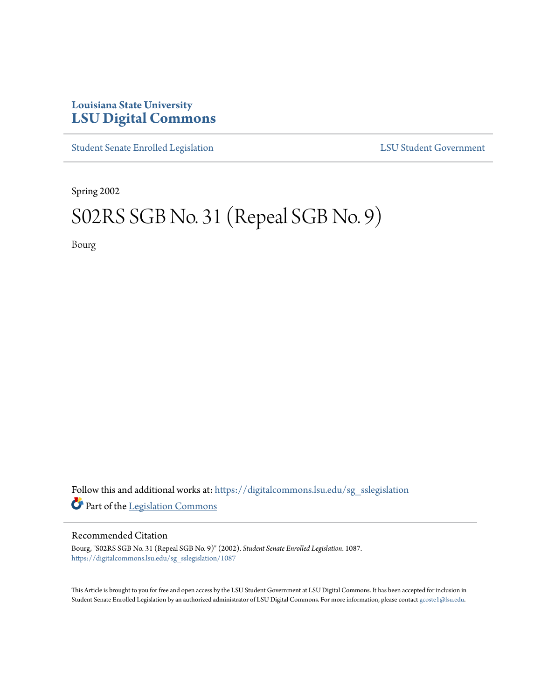# **Louisiana State University [LSU Digital Commons](https://digitalcommons.lsu.edu?utm_source=digitalcommons.lsu.edu%2Fsg_sslegislation%2F1087&utm_medium=PDF&utm_campaign=PDFCoverPages)**

[Student Senate Enrolled Legislation](https://digitalcommons.lsu.edu/sg_sslegislation?utm_source=digitalcommons.lsu.edu%2Fsg_sslegislation%2F1087&utm_medium=PDF&utm_campaign=PDFCoverPages) [LSU Student Government](https://digitalcommons.lsu.edu/sg?utm_source=digitalcommons.lsu.edu%2Fsg_sslegislation%2F1087&utm_medium=PDF&utm_campaign=PDFCoverPages)

Spring 2002

# S02RS SGB No. 31 (Repeal SGB No. 9)

Bourg

Follow this and additional works at: [https://digitalcommons.lsu.edu/sg\\_sslegislation](https://digitalcommons.lsu.edu/sg_sslegislation?utm_source=digitalcommons.lsu.edu%2Fsg_sslegislation%2F1087&utm_medium=PDF&utm_campaign=PDFCoverPages) Part of the [Legislation Commons](http://network.bepress.com/hgg/discipline/859?utm_source=digitalcommons.lsu.edu%2Fsg_sslegislation%2F1087&utm_medium=PDF&utm_campaign=PDFCoverPages)

#### Recommended Citation

Bourg, "S02RS SGB No. 31 (Repeal SGB No. 9)" (2002). *Student Senate Enrolled Legislation*. 1087. [https://digitalcommons.lsu.edu/sg\\_sslegislation/1087](https://digitalcommons.lsu.edu/sg_sslegislation/1087?utm_source=digitalcommons.lsu.edu%2Fsg_sslegislation%2F1087&utm_medium=PDF&utm_campaign=PDFCoverPages)

This Article is brought to you for free and open access by the LSU Student Government at LSU Digital Commons. It has been accepted for inclusion in Student Senate Enrolled Legislation by an authorized administrator of LSU Digital Commons. For more information, please contact [gcoste1@lsu.edu.](mailto:gcoste1@lsu.edu)